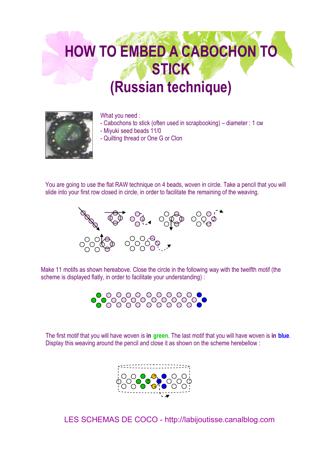## **HOW TO EMBED A CABOCHON TO STICK (Russian technique)**



What you need :

- Cabochons to stick (often used in scrapbooking) diameter : 1 см
- Miyuki seed beads 11/0
- Quilting thread or One G or Clon

You are going to use the flat RAW technique on 4 beads, woven in circle. Take a pencil that you will slide into your first row closed in circle, in order to facilitate the remaining of the weaving.



Make 11 motifs as shown hereabove. Close the circle in the following way with the twelfth motif (the scheme is displayed flatly, in order to facilitate your understanding) :



The first motif that you will have woven is **in green**. The last motif that you will have woven is **in blue**. Display this weaving around the pencil and close it as shown on the scheme herebellow :



LES SCHEMAS DE COCO - http://labijoutisse.canalblog.com